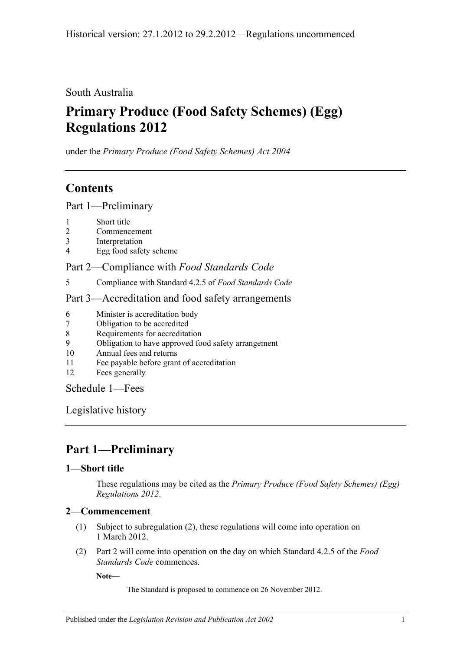South Australia

# **Primary Produce (Food Safety Schemes) (Egg) Regulations 2012**

under the *Primary Produce (Food Safety Schemes) Act 2004*

## **Contents**

Part [1—Preliminary](#page-0-0)

- 1 [Short title](#page-0-1)
- 2 [Commencement](#page-0-2)
- 3 [Interpretation](#page-1-0)
- 4 [Egg food safety scheme](#page-1-1)

Part 2—Compliance with *[Food Standards Code](#page-1-2)*

5 [Compliance with Standard](#page-1-3) 4.2.5 of *Food Standards Code*

### Part [3—Accreditation and food safety arrangements](#page-1-4)

- 6 [Minister is accreditation body](#page-1-5)
- 7 [Obligation to be accredited](#page-1-6)
- 8 [Requirements for accreditation](#page-2-0)
- 9 [Obligation to have approved food safety arrangement](#page-2-1)
- 10 [Annual fees and returns](#page-2-2)
- 11 [Fee payable before grant of accreditation](#page-2-3)
- 12 [Fees generally](#page-2-4)

[Schedule](#page-2-5) 1—Fees

[Legislative history](#page-4-0)

## <span id="page-0-0"></span>**Part 1—Preliminary**

## <span id="page-0-1"></span>**1—Short title**

These regulations may be cited as the *Primary Produce (Food Safety Schemes) (Egg) Regulations 2012*.

## <span id="page-0-2"></span>**2—Commencement**

- (1) Subject to [subregulation](#page-0-3) (2), these regulations will come into operation on 1 March 2012.
- <span id="page-0-3"></span>(2) [Part](#page-1-2) 2 will come into operation on the day on which Standard 4.2.5 of the *Food Standards Code* commences.

**Note—**

The Standard is proposed to commence on 26 November 2012.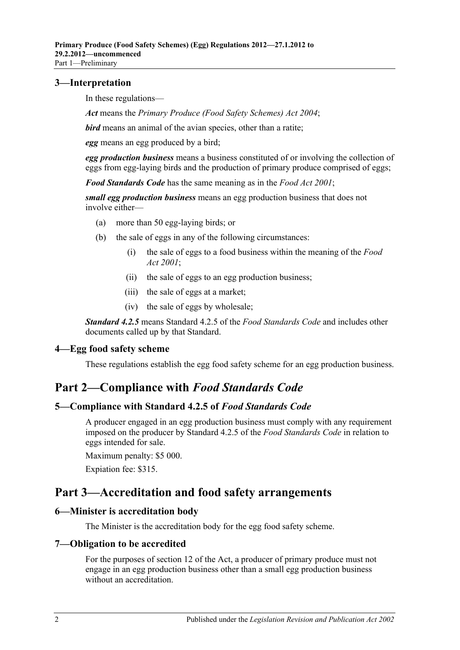### <span id="page-1-0"></span>**3—Interpretation**

In these regulations—

*Act* means the *[Primary Produce \(Food Safety Schemes\) Act](http://www.legislation.sa.gov.au/index.aspx?action=legref&type=act&legtitle=Primary%20Produce%20(Food%20Safety%20Schemes)%20Act%202004) 2004*;

*bird* means an animal of the avian species, other than a ratite;

*egg* means an egg produced by a bird;

*egg production business* means a business constituted of or involving the collection of eggs from egg-laying birds and the production of primary produce comprised of eggs;

*Food Standards Code* has the same meaning as in the *[Food Act](http://www.legislation.sa.gov.au/index.aspx?action=legref&type=act&legtitle=Food%20Act%202001) 2001*;

*small egg production business* means an egg production business that does not involve either—

- (a) more than 50 egg-laying birds; or
- (b) the sale of eggs in any of the following circumstances:
	- (i) the sale of eggs to a food business within the meaning of the *[Food](http://www.legislation.sa.gov.au/index.aspx?action=legref&type=act&legtitle=Food%20Act%202001)  Act [2001](http://www.legislation.sa.gov.au/index.aspx?action=legref&type=act&legtitle=Food%20Act%202001)*;
	- (ii) the sale of eggs to an egg production business;
	- (iii) the sale of eggs at a market;
	- (iv) the sale of eggs by wholesale;

*Standard 4.2.5* means Standard 4.2.5 of the *Food Standards Code* and includes other documents called up by that Standard.

### <span id="page-1-1"></span>**4—Egg food safety scheme**

These regulations establish the egg food safety scheme for an egg production business.

## <span id="page-1-2"></span>**Part 2—Compliance with** *Food Standards Code*

#### <span id="page-1-3"></span>**5—Compliance with Standard 4.2.5 of** *Food Standards Code*

A producer engaged in an egg production business must comply with any requirement imposed on the producer by Standard 4.2.5 of the *Food Standards Code* in relation to eggs intended for sale.

Maximum penalty: \$5 000.

Expiation fee: \$315.

## <span id="page-1-4"></span>**Part 3—Accreditation and food safety arrangements**

#### <span id="page-1-5"></span>**6—Minister is accreditation body**

The Minister is the accreditation body for the egg food safety scheme.

#### <span id="page-1-6"></span>**7—Obligation to be accredited**

For the purposes of section 12 of the Act, a producer of primary produce must not engage in an egg production business other than a small egg production business without an accreditation.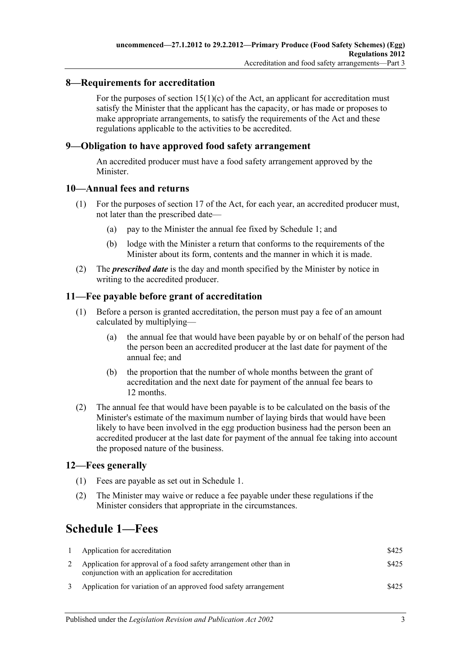### <span id="page-2-0"></span>**8—Requirements for accreditation**

For the purposes of section  $15(1)(c)$  of the Act, an applicant for accreditation must satisfy the Minister that the applicant has the capacity, or has made or proposes to make appropriate arrangements, to satisfy the requirements of the Act and these regulations applicable to the activities to be accredited.

### <span id="page-2-1"></span>**9—Obligation to have approved food safety arrangement**

An accredited producer must have a food safety arrangement approved by the Minister.

#### <span id="page-2-2"></span>**10—Annual fees and returns**

- (1) For the purposes of section 17 of the Act, for each year, an accredited producer must, not later than the prescribed date—
	- (a) pay to the Minister the annual fee fixed by [Schedule](#page-2-5) 1; and
	- (b) lodge with the Minister a return that conforms to the requirements of the Minister about its form, contents and the manner in which it is made.
- (2) The *prescribed date* is the day and month specified by the Minister by notice in writing to the accredited producer.

### <span id="page-2-3"></span>**11—Fee payable before grant of accreditation**

- (1) Before a person is granted accreditation, the person must pay a fee of an amount calculated by multiplying—
	- (a) the annual fee that would have been payable by or on behalf of the person had the person been an accredited producer at the last date for payment of the annual fee; and
	- (b) the proportion that the number of whole months between the grant of accreditation and the next date for payment of the annual fee bears to 12 months.
- (2) The annual fee that would have been payable is to be calculated on the basis of the Minister's estimate of the maximum number of laying birds that would have been likely to have been involved in the egg production business had the person been an accredited producer at the last date for payment of the annual fee taking into account the proposed nature of the business.

### <span id="page-2-4"></span>**12—Fees generally**

- (1) Fees are payable as set out in [Schedule](#page-2-5) 1.
- (2) The Minister may waive or reduce a fee payable under these regulations if the Minister considers that appropriate in the circumstances.

## <span id="page-2-5"></span>**Schedule 1—Fees**

| Application for accreditation                                                                                            | \$425 |
|--------------------------------------------------------------------------------------------------------------------------|-------|
| Application for approval of a food safety arrangement other than in<br>conjunction with an application for accreditation | \$425 |
| Application for variation of an approved food safety arrangement                                                         | \$425 |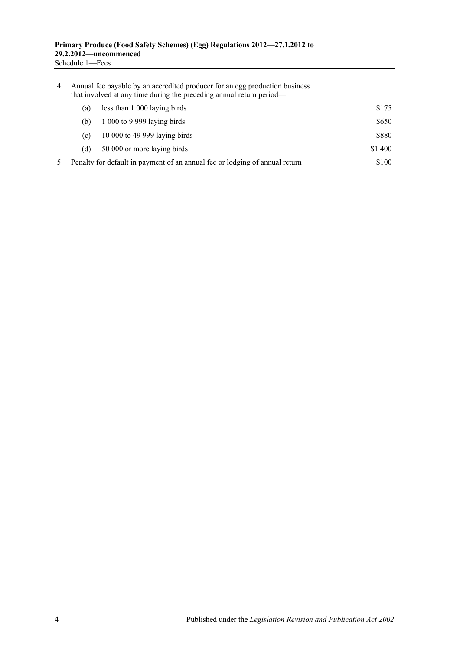| 4 | Annual fee payable by an accredited producer for an egg production business<br>that involved at any time during the preceding annual return period— |                               |         |  |
|---|-----------------------------------------------------------------------------------------------------------------------------------------------------|-------------------------------|---------|--|
|   | (a)                                                                                                                                                 | less than 1 000 laying birds  | \$175   |  |
|   | (b)                                                                                                                                                 | $1000$ to 9 999 laying birds  | \$650   |  |
|   | (c)                                                                                                                                                 | 10 000 to 49 999 laying birds | \$880   |  |
|   | (d)                                                                                                                                                 | 50 000 or more laying birds   | \$1 400 |  |
|   | \$100<br>Penalty for default in payment of an annual fee or lodging of annual return                                                                |                               |         |  |